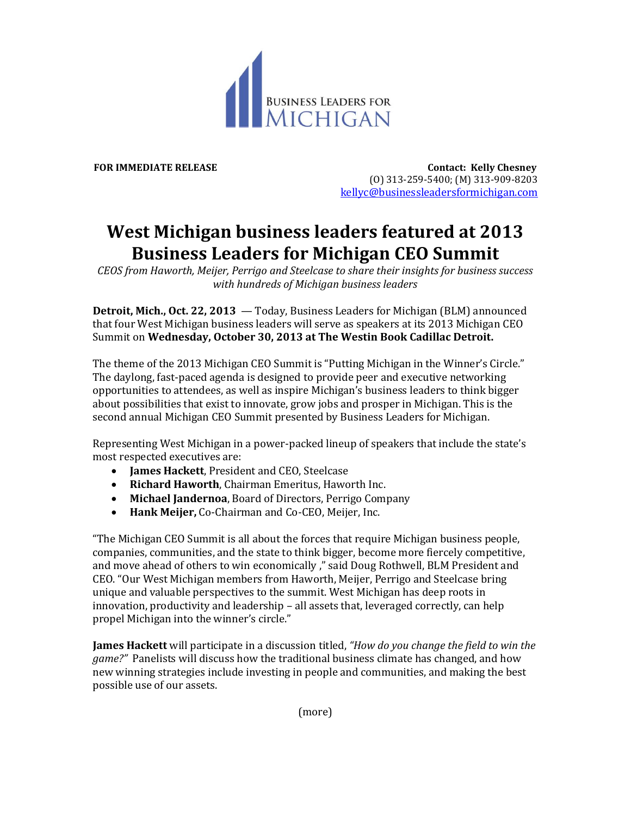

**FOR IMMEDIATE RELEASE Contact: Kelly Chesney** (O) 313-259-5400; (M) 313-909-8203 [kellyc@businessleadersformichigan.com](mailto:kellyc@businessleadersformichigan.com)

## **West Michigan business leaders featured at 2013 Business Leaders for Michigan CEO Summit**

*CEOS from Haworth, Meijer, Perrigo and Steelcase to share their insights for business success with hundreds of Michigan business leaders*

**Detroit, Mich., Oct. 22, 2013** — Today, Business Leaders for Michigan (BLM) announced that four West Michigan business leaders will serve as speakers at its 2013 Michigan CEO Summit on **Wednesday, October 30, 2013 at The Westin Book Cadillac Detroit.**

The theme of the 2013 Michigan CEO Summit is "Putting Michigan in the Winner's Circle." The daylong, fast-paced agenda is designed to provide peer and executive networking opportunities to attendees, as well as inspire Michigan's business leaders to think bigger about possibilities that exist to innovate, grow jobs and prosper in Michigan. This is the second annual Michigan CEO Summit presented by Business Leaders for Michigan.

Representing West Michigan in a power-packed lineup of speakers that include the state's most respected executives are:

- **James Hackett**, President and CEO, Steelcase
- **Richard Haworth**, Chairman Emeritus, Haworth Inc.
- **Michael Jandernoa**, Board of Directors, Perrigo Company
- **Hank Meijer,** Co-Chairman and Co-CEO, Meijer, Inc.

"The Michigan CEO Summit is all about the forces that require Michigan business people, companies, communities, and the state to think bigger, become more fiercely competitive, and move ahead of others to win economically ," said Doug Rothwell, BLM President and CEO. "Our West Michigan members from Haworth, Meijer, Perrigo and Steelcase bring unique and valuable perspectives to the summit. West Michigan has deep roots in innovation, productivity and leadership – all assets that, leveraged correctly, can help propel Michigan into the winner's circle."

**James Hackett** will participate in a discussion titled, *"How do you change the field to win the game?"* Panelists will discuss how the traditional business climate has changed, and how new winning strategies include investing in people and communities, and making the best possible use of our assets.

(more)